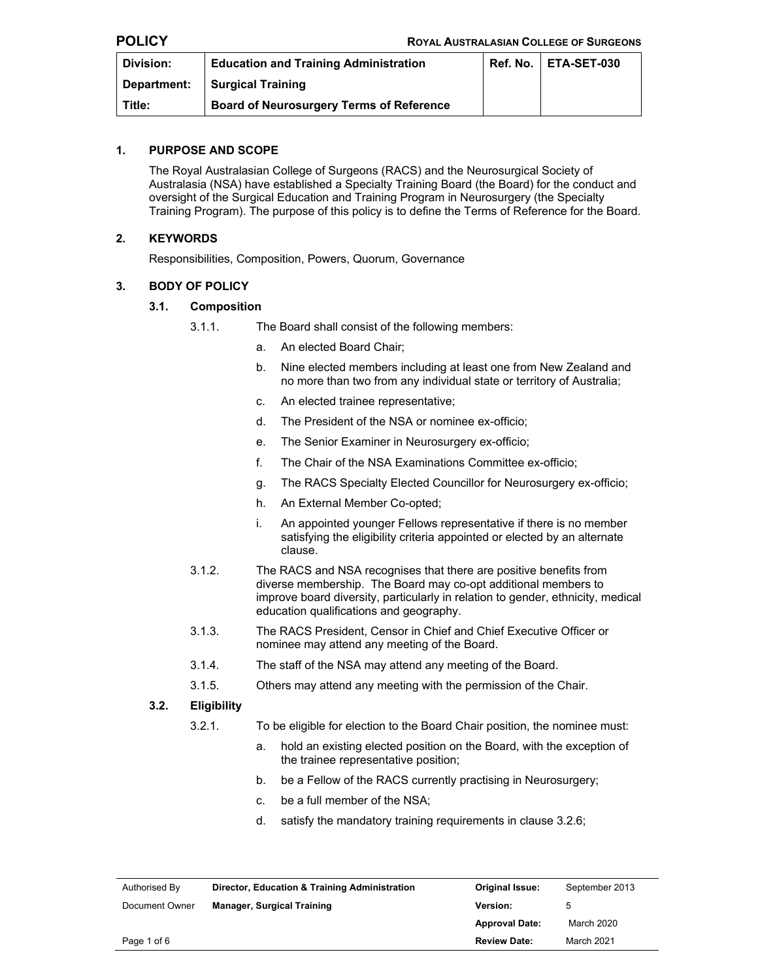| Division:   | <b>Education and Training Administration</b>    | Ref. No.   ETA-SET-030 |
|-------------|-------------------------------------------------|------------------------|
| Department: | <b>Surgical Training</b>                        |                        |
| Title:      | <b>Board of Neurosurgery Terms of Reference</b> |                        |

#### **1. PURPOSE AND SCOPE**

The Royal Australasian College of Surgeons (RACS) and the Neurosurgical Society of Australasia (NSA) have established a Specialty Training Board (the Board) for the conduct and oversight of the Surgical Education and Training Program in Neurosurgery (the Specialty Training Program). The purpose of this policy is to define the Terms of Reference for the Board.

# **2. KEYWORDS**

Responsibilities, Composition, Powers, Quorum, Governance

# **3. BODY OF POLICY**

### **3.1. Composition**

- 3.1.1. The Board shall consist of the following members:
	- a. An elected Board Chair;
	- b. Nine elected members including at least one from New Zealand and no more than two from any individual state or territory of Australia;
	- c. An elected trainee representative;
	- d. The President of the NSA or nominee ex-officio;
	- e. The Senior Examiner in Neurosurgery ex-officio;
	- f. The Chair of the NSA Examinations Committee ex-officio;
	- g. The RACS Specialty Elected Councillor for Neurosurgery ex-officio;
	- h. An External Member Co-opted;
	- i. An appointed younger Fellows representative if there is no member satisfying the eligibility criteria appointed or elected by an alternate clause.
- 3.1.2. The RACS and NSA recognises that there are positive benefits from diverse membership. The Board may co-opt additional members to improve board diversity, particularly in relation to gender, ethnicity, medical education qualifications and geography.
- 3.1.3. The RACS President, Censor in Chief and Chief Executive Officer or nominee may attend any meeting of the Board.
- 3.1.4. The staff of the NSA may attend any meeting of the Board.
- 3.1.5. Others may attend any meeting with the permission of the Chair.

# **3.2. Eligibility**

- 3.2.1. To be eligible for election to the Board Chair position, the nominee must:
	- a. hold an existing elected position on the Board, with the exception of the trainee representative position;
	- b. be a Fellow of the RACS currently practising in Neurosurgery;
	- c. be a full member of the NSA;
	- d. satisfy the mandatory training requirements in clause 3.2.6;

| Authorised By  | Director, Education & Training Administration | <b>Original Issue:</b> | September 2013 |
|----------------|-----------------------------------------------|------------------------|----------------|
| Document Owner | <b>Manager, Surgical Training</b>             | <b>Version:</b>        |                |
|                |                                               | <b>Approval Date:</b>  | March 2020     |
| Page 1 of 6    |                                               | <b>Review Date:</b>    | March 2021     |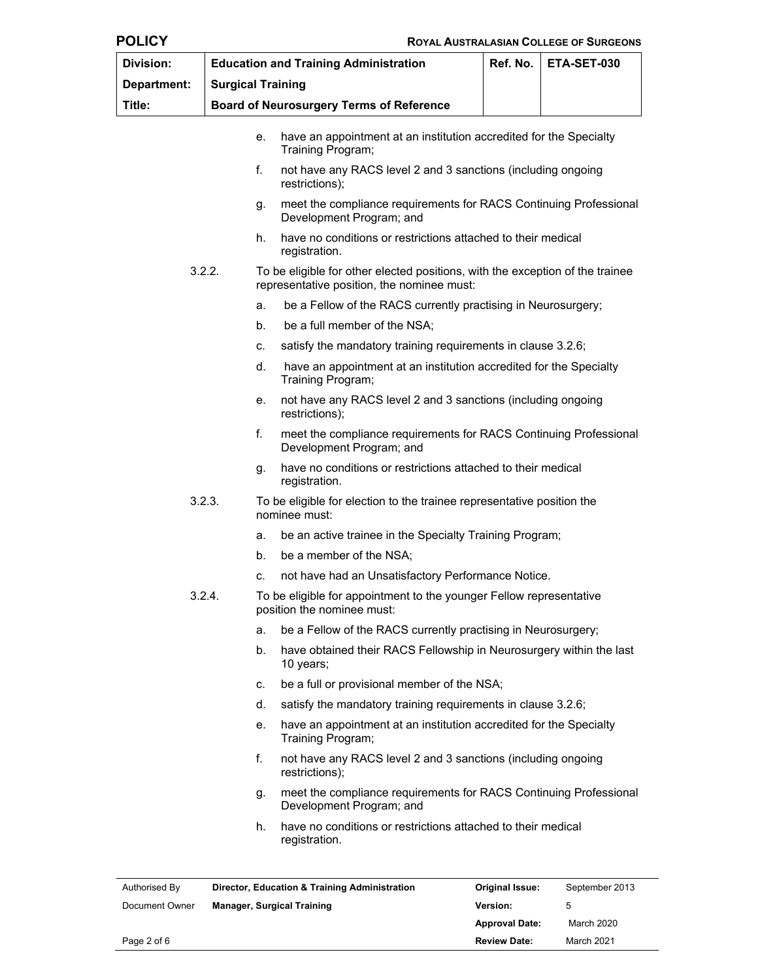|--|

| Division:   |                          |    | <b>Education and Training Administration</b>                                                                                | Ref. No. | ETA-SET-030 |
|-------------|--------------------------|----|-----------------------------------------------------------------------------------------------------------------------------|----------|-------------|
| Department: | <b>Surgical Training</b> |    |                                                                                                                             |          |             |
| Title:      |                          |    | <b>Board of Neurosurgery Terms of Reference</b>                                                                             |          |             |
|             |                          | е. | have an appointment at an institution accredited for the Specialty<br>Training Program;                                     |          |             |
|             | f.                       |    | not have any RACS level 2 and 3 sanctions (including ongoing<br>restrictions);                                              |          |             |
| g.          |                          |    | meet the compliance requirements for RACS Continuing Professional<br>Development Program; and                               |          |             |
|             |                          | h. | have no conditions or restrictions attached to their medical<br>registration.                                               |          |             |
| 3.2.2.      |                          |    | To be eligible for other elected positions, with the exception of the trainee<br>representative position, the nominee must: |          |             |
|             |                          | a. | be a Fellow of the RACS currently practising in Neurosurgery;                                                               |          |             |
|             |                          | b. | be a full member of the NSA;                                                                                                |          |             |
|             |                          | c. | satisfy the mandatory training requirements in clause 3.2.6;                                                                |          |             |
|             |                          | d. | have an appointment at an institution accredited for the Specialty<br>Training Program;                                     |          |             |
|             |                          | е. | not have any RACS level 2 and 3 sanctions (including ongoing<br>restrictions);                                              |          |             |
|             | f.                       |    | meet the compliance requirements for RACS Continuing Professional<br>Development Program; and                               |          |             |
|             |                          | g. | have no conditions or restrictions attached to their medical<br>registration.                                               |          |             |
| 3.2.3.      |                          |    | To be eligible for election to the trainee representative position the<br>nominee must:                                     |          |             |
|             |                          | a. | be an active trainee in the Specialty Training Program;                                                                     |          |             |
|             |                          | b. | be a member of the NSA;                                                                                                     |          |             |
|             |                          | с. | not have had an Unsatisfactory Performance Notice.                                                                          |          |             |
| 3.2.4.      |                          |    | To be eligible for appointment to the younger Fellow representative<br>position the nominee must:                           |          |             |
|             |                          | a. | be a Fellow of the RACS currently practising in Neurosurgery;                                                               |          |             |
|             |                          | b. | have obtained their RACS Fellowship in Neurosurgery within the last<br>10 years;                                            |          |             |
|             |                          | c. | be a full or provisional member of the NSA;                                                                                 |          |             |
|             |                          | d. | satisfy the mandatory training requirements in clause 3.2.6;                                                                |          |             |
|             |                          | е. | have an appointment at an institution accredited for the Specialty<br>Training Program;                                     |          |             |
|             | f.                       |    | not have any RACS level 2 and 3 sanctions (including ongoing<br>restrictions);                                              |          |             |
|             |                          | g. | meet the compliance requirements for RACS Continuing Professional<br>Development Program; and                               |          |             |
|             |                          | h. | have no conditions or restrictions attached to their medical<br>registration.                                               |          |             |

| Authorised By  | Director, Education & Training Administration | <b>Original Issue:</b> | September 2013 |
|----------------|-----------------------------------------------|------------------------|----------------|
| Document Owner | <b>Manager, Surgical Training</b>             | <b>Version:</b>        | h              |
|                |                                               | <b>Approval Date:</b>  | March 2020     |
| Page 2 of 6    |                                               | <b>Review Date:</b>    | March 2021     |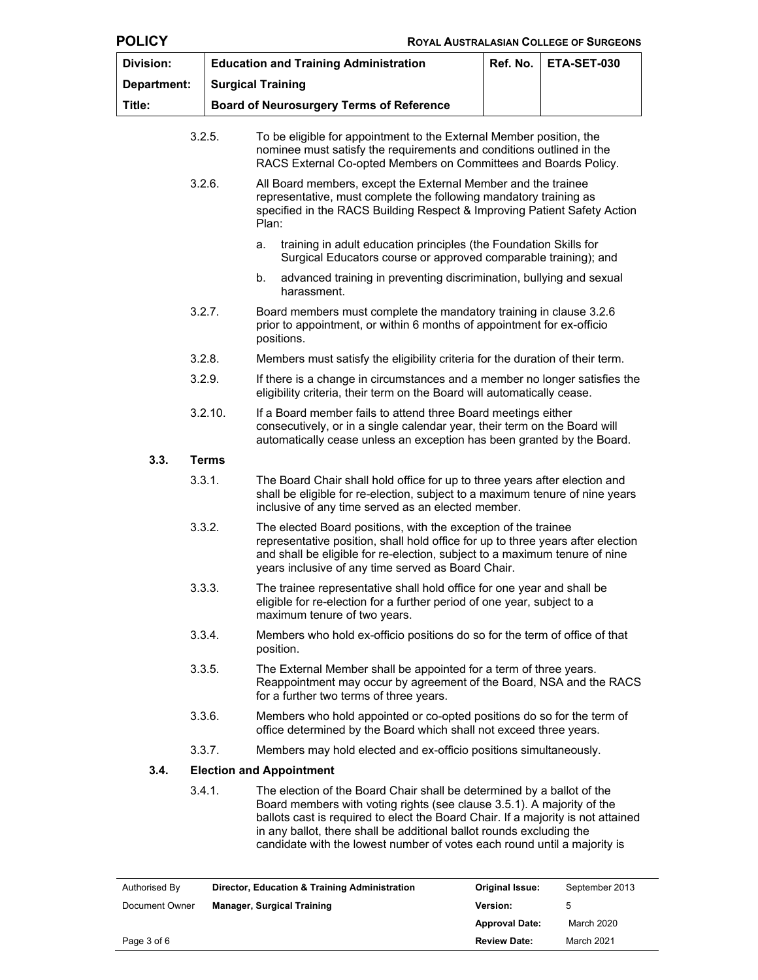| × |  |
|---|--|
|---|--|

| <b>Division:</b> | <b>Education and Training Administration</b>                                                                                                                                                                                    | ETA-SET-030                                                                                                                                                                                                                                                                                                                                                                              |  |  |
|------------------|---------------------------------------------------------------------------------------------------------------------------------------------------------------------------------------------------------------------------------|------------------------------------------------------------------------------------------------------------------------------------------------------------------------------------------------------------------------------------------------------------------------------------------------------------------------------------------------------------------------------------------|--|--|
| Department:      |                                                                                                                                                                                                                                 | <b>Surgical Training</b>                                                                                                                                                                                                                                                                                                                                                                 |  |  |
| Title:           |                                                                                                                                                                                                                                 | <b>Board of Neurosurgery Terms of Reference</b>                                                                                                                                                                                                                                                                                                                                          |  |  |
|                  | 3.2.5.                                                                                                                                                                                                                          | To be eligible for appointment to the External Member position, the<br>nominee must satisfy the requirements and conditions outlined in the<br>RACS External Co-opted Members on Committees and Boards Policy.                                                                                                                                                                           |  |  |
| 3.2.6.           |                                                                                                                                                                                                                                 | All Board members, except the External Member and the trainee<br>representative, must complete the following mandatory training as<br>specified in the RACS Building Respect & Improving Patient Safety Action<br>Plan:                                                                                                                                                                  |  |  |
|                  |                                                                                                                                                                                                                                 | training in adult education principles (the Foundation Skills for<br>a.<br>Surgical Educators course or approved comparable training); and                                                                                                                                                                                                                                               |  |  |
|                  |                                                                                                                                                                                                                                 | b.<br>advanced training in preventing discrimination, bullying and sexual<br>harassment.                                                                                                                                                                                                                                                                                                 |  |  |
|                  | 3.2.7.                                                                                                                                                                                                                          | Board members must complete the mandatory training in clause 3.2.6<br>prior to appointment, or within 6 months of appointment for ex-officio<br>positions.                                                                                                                                                                                                                               |  |  |
|                  | 3.2.8.                                                                                                                                                                                                                          | Members must satisfy the eligibility criteria for the duration of their term.                                                                                                                                                                                                                                                                                                            |  |  |
|                  | 3.2.9.                                                                                                                                                                                                                          | If there is a change in circumstances and a member no longer satisfies the<br>eligibility criteria, their term on the Board will automatically cease.                                                                                                                                                                                                                                    |  |  |
|                  | 3.2.10.<br>If a Board member fails to attend three Board meetings either<br>consecutively, or in a single calendar year, their term on the Board will<br>automatically cease unless an exception has been granted by the Board. |                                                                                                                                                                                                                                                                                                                                                                                          |  |  |
| 3.3.             | <b>Terms</b>                                                                                                                                                                                                                    |                                                                                                                                                                                                                                                                                                                                                                                          |  |  |
|                  | 3.3.1.                                                                                                                                                                                                                          | The Board Chair shall hold office for up to three years after election and<br>shall be eligible for re-election, subject to a maximum tenure of nine years<br>inclusive of any time served as an elected member.                                                                                                                                                                         |  |  |
| 3.3.2.           |                                                                                                                                                                                                                                 | The elected Board positions, with the exception of the trainee<br>representative position, shall hold office for up to three years after election<br>and shall be eligible for re-election, subject to a maximum tenure of nine<br>years inclusive of any time served as Board Chair.                                                                                                    |  |  |
|                  | 3.3.3.                                                                                                                                                                                                                          | The trainee representative shall hold office for one year and shall be<br>eligible for re-election for a further period of one year, subject to a<br>maximum tenure of two years.                                                                                                                                                                                                        |  |  |
|                  | 3.3.4.                                                                                                                                                                                                                          | Members who hold ex-officio positions do so for the term of office of that<br>position.                                                                                                                                                                                                                                                                                                  |  |  |
|                  | 3.3.5.                                                                                                                                                                                                                          | The External Member shall be appointed for a term of three years.<br>Reappointment may occur by agreement of the Board, NSA and the RACS<br>for a further two terms of three years.                                                                                                                                                                                                      |  |  |
|                  | 3.3.6.                                                                                                                                                                                                                          | Members who hold appointed or co-opted positions do so for the term of<br>office determined by the Board which shall not exceed three years.                                                                                                                                                                                                                                             |  |  |
|                  | 3.3.7.                                                                                                                                                                                                                          | Members may hold elected and ex-officio positions simultaneously.                                                                                                                                                                                                                                                                                                                        |  |  |
| 3.4.             |                                                                                                                                                                                                                                 | <b>Election and Appointment</b>                                                                                                                                                                                                                                                                                                                                                          |  |  |
|                  | 3.4.1.                                                                                                                                                                                                                          | The election of the Board Chair shall be determined by a ballot of the<br>Board members with voting rights (see clause 3.5.1). A majority of the<br>ballots cast is required to elect the Board Chair. If a majority is not attained<br>in any ballot, there shall be additional ballot rounds excluding the<br>candidate with the lowest number of votes each round until a majority is |  |  |

| Authorised By  | Director, Education & Training Administration | <b>Original Issue:</b> | September 2013 |
|----------------|-----------------------------------------------|------------------------|----------------|
| Document Owner | <b>Manager, Surgical Training</b>             | Version:               | b              |
|                |                                               | <b>Approval Date:</b>  | March 2020     |
| Page 3 of 6    |                                               | <b>Review Date:</b>    | March 2021     |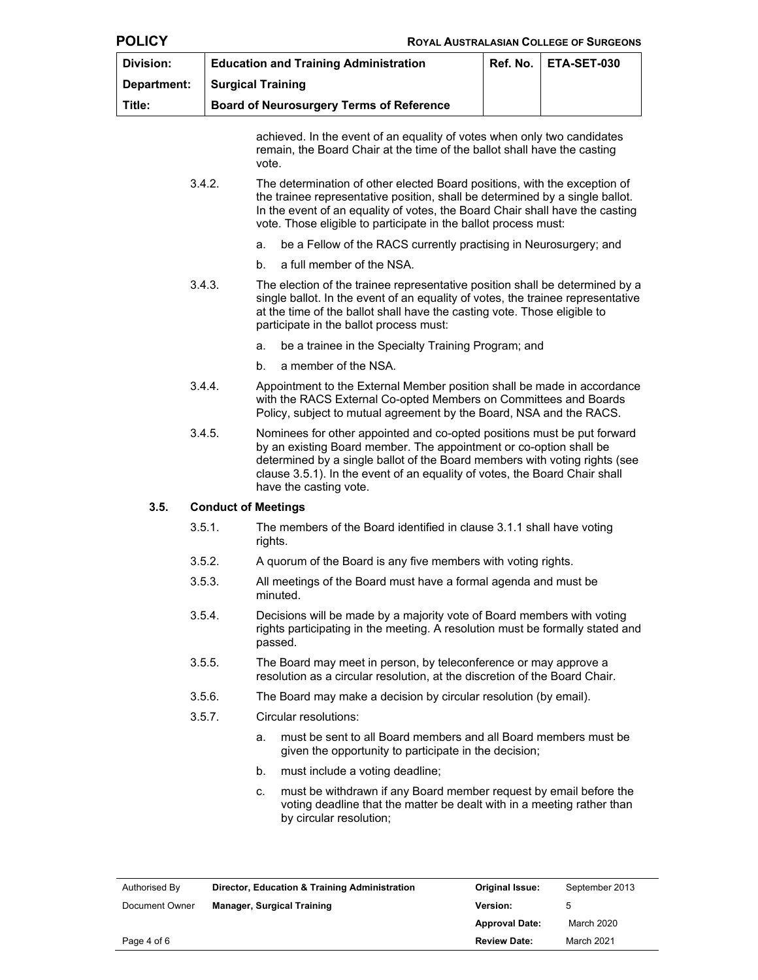|                  | <b>ROYAL AUSTRALASIAN COLLEGE OF SURGEONS</b>                                                                                                                                |                                                                                                                                                                                                                                                                                                                                     |                                                                                                                                                                                                                                                                                                              |  |             |
|------------------|------------------------------------------------------------------------------------------------------------------------------------------------------------------------------|-------------------------------------------------------------------------------------------------------------------------------------------------------------------------------------------------------------------------------------------------------------------------------------------------------------------------------------|--------------------------------------------------------------------------------------------------------------------------------------------------------------------------------------------------------------------------------------------------------------------------------------------------------------|--|-------------|
| <b>Division:</b> | Ref. No.<br><b>Education and Training Administration</b>                                                                                                                     |                                                                                                                                                                                                                                                                                                                                     |                                                                                                                                                                                                                                                                                                              |  | ETA-SET-030 |
| Department:      | <b>Surgical Training</b>                                                                                                                                                     |                                                                                                                                                                                                                                                                                                                                     |                                                                                                                                                                                                                                                                                                              |  |             |
| Title:           |                                                                                                                                                                              |                                                                                                                                                                                                                                                                                                                                     | <b>Board of Neurosurgery Terms of Reference</b>                                                                                                                                                                                                                                                              |  |             |
|                  |                                                                                                                                                                              | vote.                                                                                                                                                                                                                                                                                                                               | achieved. In the event of an equality of votes when only two candidates<br>remain, the Board Chair at the time of the ballot shall have the casting                                                                                                                                                          |  |             |
|                  | 3.4.2.                                                                                                                                                                       |                                                                                                                                                                                                                                                                                                                                     | The determination of other elected Board positions, with the exception of<br>the trainee representative position, shall be determined by a single ballot.<br>In the event of an equality of votes, the Board Chair shall have the casting<br>vote. Those eligible to participate in the ballot process must: |  |             |
|                  |                                                                                                                                                                              | a.                                                                                                                                                                                                                                                                                                                                  | be a Fellow of the RACS currently practising in Neurosurgery; and                                                                                                                                                                                                                                            |  |             |
|                  |                                                                                                                                                                              | b.                                                                                                                                                                                                                                                                                                                                  | a full member of the NSA.                                                                                                                                                                                                                                                                                    |  |             |
|                  | 3.4.3.                                                                                                                                                                       |                                                                                                                                                                                                                                                                                                                                     | The election of the trainee representative position shall be determined by a<br>single ballot. In the event of an equality of votes, the trainee representative<br>at the time of the ballot shall have the casting vote. Those eligible to<br>participate in the ballot process must:                       |  |             |
|                  |                                                                                                                                                                              | a.                                                                                                                                                                                                                                                                                                                                  | be a trainee in the Specialty Training Program; and                                                                                                                                                                                                                                                          |  |             |
|                  |                                                                                                                                                                              | b.                                                                                                                                                                                                                                                                                                                                  | a member of the NSA.                                                                                                                                                                                                                                                                                         |  |             |
|                  | 3.4.4.                                                                                                                                                                       |                                                                                                                                                                                                                                                                                                                                     | Appointment to the External Member position shall be made in accordance<br>with the RACS External Co-opted Members on Committees and Boards<br>Policy, subject to mutual agreement by the Board, NSA and the RACS.                                                                                           |  |             |
|                  | 3.4.5.                                                                                                                                                                       | Nominees for other appointed and co-opted positions must be put forward<br>by an existing Board member. The appointment or co-option shall be<br>determined by a single ballot of the Board members with voting rights (see<br>clause 3.5.1). In the event of an equality of votes, the Board Chair shall<br>have the casting vote. |                                                                                                                                                                                                                                                                                                              |  |             |
| 3.5.             | <b>Conduct of Meetings</b>                                                                                                                                                   |                                                                                                                                                                                                                                                                                                                                     |                                                                                                                                                                                                                                                                                                              |  |             |
|                  | 3.5.1.                                                                                                                                                                       | rights.                                                                                                                                                                                                                                                                                                                             | The members of the Board identified in clause 3.1.1 shall have voting                                                                                                                                                                                                                                        |  |             |
|                  | 3.5.2.                                                                                                                                                                       | A quorum of the Board is any five members with voting rights.                                                                                                                                                                                                                                                                       |                                                                                                                                                                                                                                                                                                              |  |             |
|                  | 3.5.3.                                                                                                                                                                       |                                                                                                                                                                                                                                                                                                                                     | All meetings of the Board must have a formal agenda and must be<br>minuted.                                                                                                                                                                                                                                  |  |             |
|                  | 3.5.4.<br>Decisions will be made by a majority vote of Board members with voting<br>rights participating in the meeting. A resolution must be formally stated and<br>passed. |                                                                                                                                                                                                                                                                                                                                     |                                                                                                                                                                                                                                                                                                              |  |             |
|                  | 3.5.5.                                                                                                                                                                       |                                                                                                                                                                                                                                                                                                                                     | The Board may meet in person, by teleconference or may approve a<br>resolution as a circular resolution, at the discretion of the Board Chair.                                                                                                                                                               |  |             |
|                  | 3.5.6.                                                                                                                                                                       |                                                                                                                                                                                                                                                                                                                                     | The Board may make a decision by circular resolution (by email).                                                                                                                                                                                                                                             |  |             |
|                  | 3.5.7.                                                                                                                                                                       |                                                                                                                                                                                                                                                                                                                                     | Circular resolutions:                                                                                                                                                                                                                                                                                        |  |             |
|                  |                                                                                                                                                                              | a.                                                                                                                                                                                                                                                                                                                                  | must be sent to all Board members and all Board members must be<br>given the opportunity to participate in the decision;                                                                                                                                                                                     |  |             |
|                  |                                                                                                                                                                              | b.                                                                                                                                                                                                                                                                                                                                  | must include a voting deadline;                                                                                                                                                                                                                                                                              |  |             |
|                  |                                                                                                                                                                              | C.                                                                                                                                                                                                                                                                                                                                  | must be withdrawn if any Board member request by email before the<br>voting deadline that the matter be dealt with in a meeting rather than<br>by circular resolution;                                                                                                                                       |  |             |

| Authorised By  | Director, Education & Training Administration | <b>Original Issue:</b> | September 2013 |
|----------------|-----------------------------------------------|------------------------|----------------|
| Document Owner | <b>Manager, Surgical Training</b>             | <b>Version:</b>        |                |
|                |                                               | <b>Approval Date:</b>  | March 2020     |
| Page 4 of 6    |                                               | <b>Review Date:</b>    | March 2021     |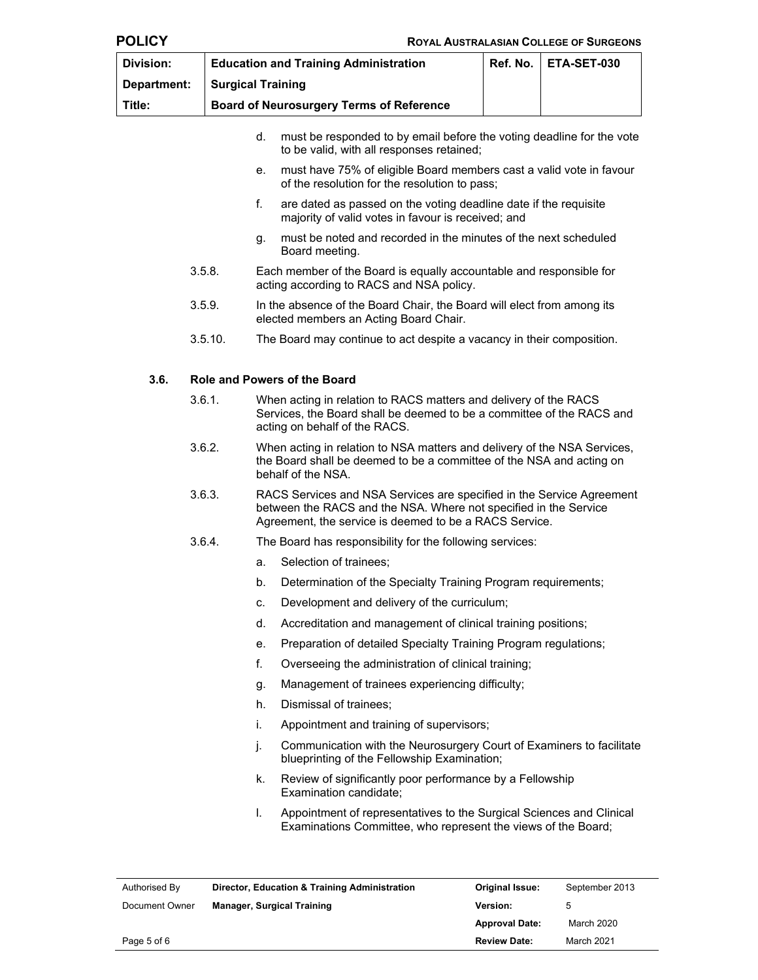| r |  |
|---|--|
|---|--|

| Division:   | <b>Education and Training Administration</b>    | Ref. No.   ETA-SET-030 |
|-------------|-------------------------------------------------|------------------------|
| Department: | <b>Surgical Training</b>                        |                        |
| Title:      | <b>Board of Neurosurgery Terms of Reference</b> |                        |

- d. must be responded to by email before the voting deadline for the vote to be valid, with all responses retained;
- e. must have 75% of eligible Board members cast a valid vote in favour of the resolution for the resolution to pass;
- f. are dated as passed on the voting deadline date if the requisite majority of valid votes in favour is received; and
- g. must be noted and recorded in the minutes of the next scheduled Board meeting.
- 3.5.8. Each member of the Board is equally accountable and responsible for acting according to RACS and NSA policy.
- 3.5.9. In the absence of the Board Chair, the Board will elect from among its elected members an Acting Board Chair.
- 3.5.10. The Board may continue to act despite a vacancy in their composition.

#### **3.6. Role and Powers of the Board**

- 3.6.1. When acting in relation to RACS matters and delivery of the RACS Services, the Board shall be deemed to be a committee of the RACS and acting on behalf of the RACS.
- 3.6.2. When acting in relation to NSA matters and delivery of the NSA Services, the Board shall be deemed to be a committee of the NSA and acting on behalf of the NSA.
- 3.6.3. RACS Services and NSA Services are specified in the Service Agreement between the RACS and the NSA. Where not specified in the Service Agreement, the service is deemed to be a RACS Service.
- 3.6.4. The Board has responsibility for the following services:
	- a. Selection of trainees;
	- b. Determination of the Specialty Training Program requirements;
	- c. Development and delivery of the curriculum;
	- d. Accreditation and management of clinical training positions;
	- e. Preparation of detailed Specialty Training Program regulations;
	- f. Overseeing the administration of clinical training;
	- g. Management of trainees experiencing difficulty;
	- h. Dismissal of trainees;
	- i. Appointment and training of supervisors;
	- j. Communication with the Neurosurgery Court of Examiners to facilitate blueprinting of the Fellowship Examination;
	- k. Review of significantly poor performance by a Fellowship Examination candidate;
	- l. Appointment of representatives to the Surgical Sciences and Clinical Examinations Committee, who represent the views of the Board;

| Authorised By  | Director, Education & Training Administration | <b>Original Issue:</b> | September 2013 |
|----------------|-----------------------------------------------|------------------------|----------------|
| Document Owner | <b>Manager, Surgical Training</b>             | <b>Version:</b>        |                |
|                |                                               | <b>Approval Date:</b>  | March 2020     |
| Page 5 of 6    |                                               | <b>Review Date:</b>    | March 2021     |